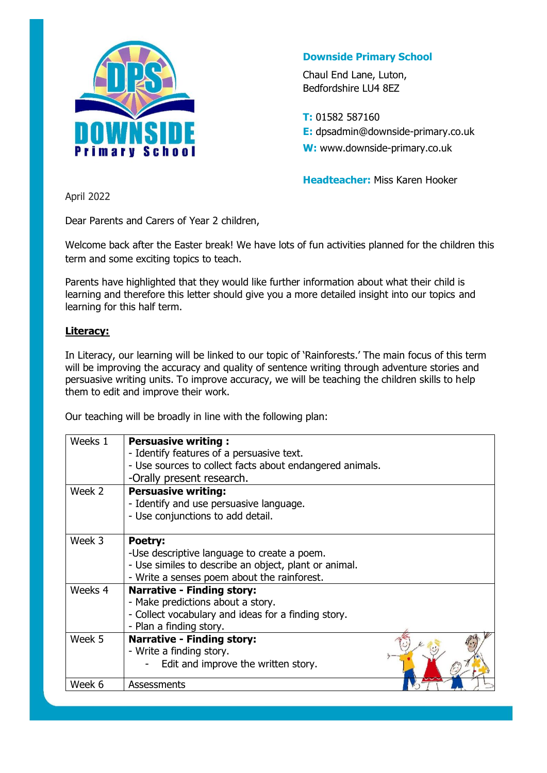

### **Downside Primary School**

Chaul End Lane, Luton, Bedfordshire LU4 8EZ

**T:** 01582 587160 **E:** dpsadmin@downside-primary.co.uk **W:** www.downside-primary.co.uk

**Headteacher:** Miss Karen Hooker

April 2022

Dear Parents and Carers of Year 2 children,

Welcome back after the Easter break! We have lots of fun activities planned for the children this term and some exciting topics to teach.

Parents have highlighted that they would like further information about what their child is learning and therefore this letter should give you a more detailed insight into our topics and learning for this half term.

#### **Literacy:**

In Literacy, our learning will be linked to our topic of 'Rainforests.' The main focus of this term will be improving the accuracy and quality of sentence writing through adventure stories and persuasive writing units. To improve accuracy, we will be teaching the children skills to help them to edit and improve their work.

Our teaching will be broadly in line with the following plan:

| Weeks 1 | <b>Persuasive writing:</b><br>- Identify features of a persuasive text.<br>- Use sources to collect facts about endangered animals.                 |
|---------|-----------------------------------------------------------------------------------------------------------------------------------------------------|
|         | -Orally present research.                                                                                                                           |
| Week 2  | <b>Persuasive writing:</b><br>- Identify and use persuasive language.<br>- Use conjunctions to add detail.                                          |
| Week 3  | Poetry:                                                                                                                                             |
|         | -Use descriptive language to create a poem.<br>- Use similes to describe an object, plant or animal.<br>- Write a senses poem about the rainforest. |
| Weeks 4 | <b>Narrative - Finding story:</b>                                                                                                                   |
|         | - Make predictions about a story.                                                                                                                   |
|         | - Collect vocabulary and ideas for a finding story.                                                                                                 |
|         | - Plan a finding story.                                                                                                                             |
| Week 5  | <b>Narrative - Finding story:</b><br>- Write a finding story.                                                                                       |
|         | Edit and improve the written story.                                                                                                                 |
| Week 6  | Assessments                                                                                                                                         |
|         |                                                                                                                                                     |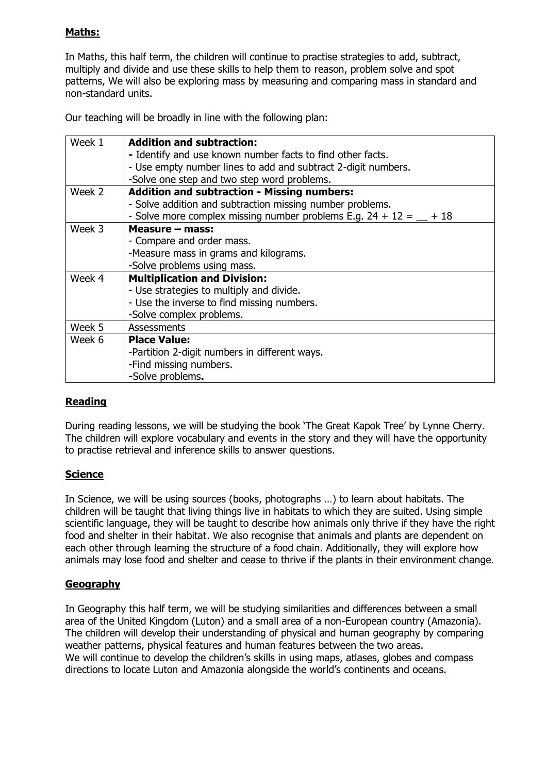### **Maths:**

In Maths, this half term, the children will continue to practise strategies to add, subtract, multiply and divide and use these skills to help them to reason, problem solve and spot patterns, We will also be exploring mass by measuring and comparing mass in standard and non-standard units.

Our teaching will be broadly in line with the following plan:

| Week 1 | <b>Addition and subtraction:</b>                                     |
|--------|----------------------------------------------------------------------|
|        | - Identify and use known number facts to find other facts.           |
|        | - Use empty number lines to add and subtract 2-digit numbers.        |
|        | -Solve one step and two step word problems.                          |
| Week 2 | <b>Addition and subtraction - Missing numbers:</b>                   |
|        | - Solve addition and subtraction missing number problems.            |
|        | - Solve more complex missing number problems E.g. $24 + 12 = 4 + 18$ |
| Week 3 | Measure - mass:                                                      |
|        | - Compare and order mass.                                            |
|        | -Measure mass in grams and kilograms.                                |
|        | -Solve problems using mass.                                          |
| Week 4 | <b>Multiplication and Division:</b>                                  |
|        | - Use strategies to multiply and divide.                             |
|        | - Use the inverse to find missing numbers.                           |
|        | -Solve complex problems.                                             |
| Week 5 | <b>Assessments</b>                                                   |
| Week 6 | <b>Place Value:</b>                                                  |
|        | -Partition 2-digit numbers in different ways.                        |
|        | -Find missing numbers.                                               |
|        | -Solve problems.                                                     |

### **Reading**

During reading lessons, we will be studying the book 'The Great Kapok Tree' by Lynne Cherry. The children will explore vocabulary and events in the story and they will have the opportunity to practise retrieval and inference skills to answer questions.

### **Science**

In Science, we will be using sources (books, photographs …) to learn about habitats. The children will be taught that living things live in habitats to which they are suited. Using simple scientific language, they will be taught to describe how animals only thrive if they have the right food and shelter in their habitat. We also recognise that animals and plants are dependent on each other through learning the structure of a food chain. Additionally, they will explore how animals may lose food and shelter and cease to thrive if the plants in their environment change.

### **Geography**

In Geography this half term, we will be studying similarities and differences between a small area of the United Kingdom (Luton) and a small area of a non-European country (Amazonia). The children will develop their understanding of physical and human geography by comparing weather patterns, physical features and human features between the two areas. We will continue to develop the children's skills in using maps, atlases, globes and compass directions to locate Luton and Amazonia alongside the world's continents and oceans.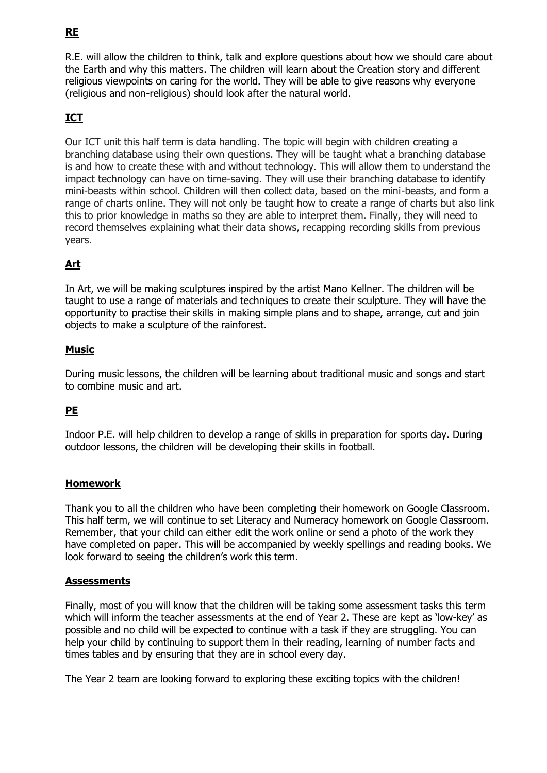# **RE**

R.E. will allow the children to think, talk and explore questions about how we should care about the Earth and why this matters. The children will learn about the Creation story and different religious viewpoints on caring for the world. They will be able to give reasons why everyone (religious and non-religious) should look after the natural world.

# **ICT**

Our ICT unit this half term is data handling. The topic will begin with children creating a branching database using their own questions. They will be taught what a branching database is and how to create these with and without technology. This will allow them to understand the impact technology can have on time-saving. They will use their branching database to identify mini-beasts within school. Children will then collect data, based on the mini-beasts, and form a range of charts online. They will not only be taught how to create a range of charts but also link this to prior knowledge in maths so they are able to interpret them. Finally, they will need to record themselves explaining what their data shows, recapping recording skills from previous years.

## **Art**

In Art, we will be making sculptures inspired by the artist Mano Kellner. The children will be taught to use a range of materials and techniques to create their sculpture. They will have the opportunity to practise their skills in making simple plans and to shape, arrange, cut and join objects to make a sculpture of the rainforest.

### **Music**

During music lessons, the children will be learning about traditional music and songs and start to combine music and art.

## **PE**

Indoor P.E. will help children to develop a range of skills in preparation for sports day. During outdoor lessons, the children will be developing their skills in football.

### **Homework**

Thank you to all the children who have been completing their homework on Google Classroom. This half term, we will continue to set Literacy and Numeracy homework on Google Classroom. Remember, that your child can either edit the work online or send a photo of the work they have completed on paper. This will be accompanied by weekly spellings and reading books. We look forward to seeing the children's work this term.

#### **Assessments**

Finally, most of you will know that the children will be taking some assessment tasks this term which will inform the teacher assessments at the end of Year 2. These are kept as 'low-key' as possible and no child will be expected to continue with a task if they are struggling. You can help your child by continuing to support them in their reading, learning of number facts and times tables and by ensuring that they are in school every day.

The Year 2 team are looking forward to exploring these exciting topics with the children!